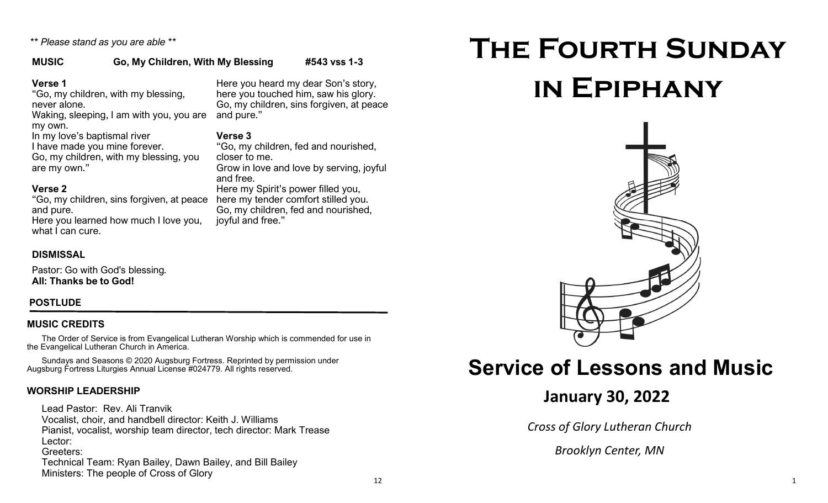*\*\* Please stand as you are able \*\**

### **MUSIC Go, My Children, With My Blessing #543 vss 1-3**

Here you heard my dear Son's story,

Here my Spirit's power filled you, here my tender comfort stilled you. Go, my children, fed and nourished,

joyful and free."

### **Verse 1**

"Go, my children, with my blessing, never alone. Waking, sleeping, I am with you, you are my own. In my love's baptismal river I have made you mine forever. Go, my children, with my blessing, you are my own." here you touched him, saw his glory. Go, my children, sins forgiven, at peace and pure." **Verse 3** "Go, my children, fed and nourished, closer to me. Grow in love and love by serving, joyful and free.

### **Verse 2**

"Go, my children, sins forgiven, at peace and pure. Here you learned how much I love you, what I can cure.

### **DISMISSAL**

Pastor: Go with God's blessing*.* **All: Thanks be to God!**

### **POSTLUDE**

### **MUSIC CREDITS**

The Order of Service is from Evangelical Lutheran Worship which is commended for use in the Evangelical Lutheran Church in America.

Sundays and Seasons © 2020 Augsburg Fortress. Reprinted by permission under Augsburg Fortress Liturgies Annual License #024779. All rights reserved.

### **WORSHIP LEADERSHIP**

Lead Pastor: Rev. Ali Tranvik Vocalist, choir, and handbell director: Keith J. Williams Pianist, vocalist, worship team director, tech director: Mark Trease Lector: Greeters: Technical Team: Ryan Bailey, Dawn Bailey, and Bill Bailey Ministers: The people of Cross of Glory

# **The Fourth Sunday in Epiphany**



## **Service of Lessons and Music**

**January 30, 2022**

*Cross of Glory Lutheran Church*

*Brooklyn Center, MN*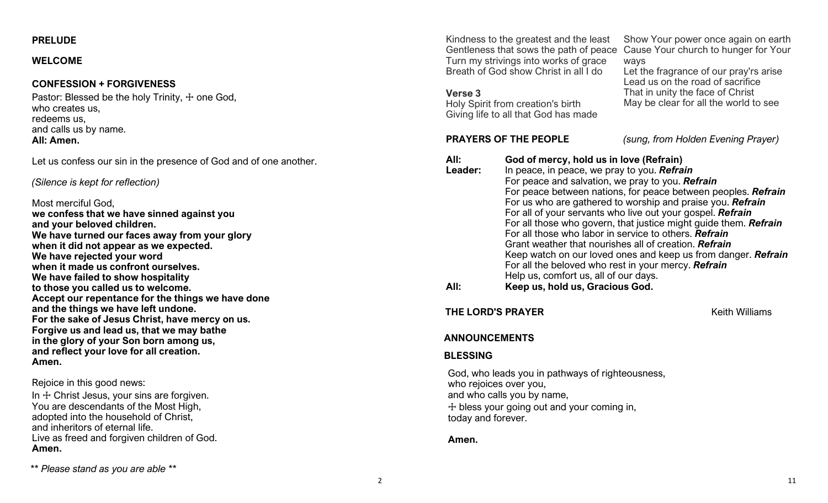### **PRELUDE**

### **WELCOME**

### **CONFESSION + FORGIVENESS**

Pastor: Blessed be the holy Trinity,  $+$  one God, who creates us, redeems us, and calls us by name. **All: Amen.**

Let us confess our sin in the presence of God and of one another.

*(Silence is kept for reflection)*

### Most merciful God,

**we confess that we have sinned against you and your beloved children. We have turned our faces away from your glory when it did not appear as we expected. We have rejected your word when it made us confront ourselves. We have failed to show hospitality to those you called us to welcome. Accept our repentance for the things we have done and the things we have left undone. For the sake of Jesus Christ, have mercy on us. Forgive us and lead us, that we may bathe in the glory of your Son born among us, and reflect your love for all creation. Amen.**

Rejoice in this good news:

In  $+$  Christ Jesus, your sins are forgiven. You are descendants of the Most High, adopted into the household of Christ, and inheritors of eternal life. Live as freed and forgiven children of God. **Amen.**

*\*\* Please stand as you are able \*\**

Kindness to the greatest and the least Turn my strivings into works of grace Breath of God show Christ in all I do

### **Verse 3**

Holy Spirit from creation's birth Giving life to all that God has made

Gentleness that sows the path of peace Cause Your church to hunger for Your Show Your power once again on earth ways

> Let the fragrance of our pray'rs arise Lead us on the road of sacrifice That in unity the face of Christ May be clear for all the world to see

**PRAYERS OF THE PEOPLE** *(sung, from Holden Evening Prayer)*

### **All: God of mercy, hold us in love (Refrain) Leader:** In peace, in peace, we pray to you. *Refrain* For peace and salvation, we pray to you. *Refrain* For peace between nations, for peace between peoples. *Refrain*

For us who are gathered to worship and praise you. *Refrain* For all of your servants who live out your gospel. *Refrain* For all those who govern, that justice might guide them. *Refrain* For all those who labor in service to others. *Refrain* Grant weather that nourishes all of creation. *Refrain* Keep watch on our loved ones and keep us from danger. *Refrain* For all the beloved who rest in your mercy. *Refrain* Help us, comfort us, all of our days.

### **All: Keep us, hold us, Gracious God.**

**THE LORD'S PRAYER THE LORD'S PRAYER** 

### **ANNOUNCEMENTS**

### **BLESSING**

God, who leads you in pathways of righteousness, who rejoices over you, and who calls you by name, ☩ bless your going out and your coming in, today and forever.

**Amen.**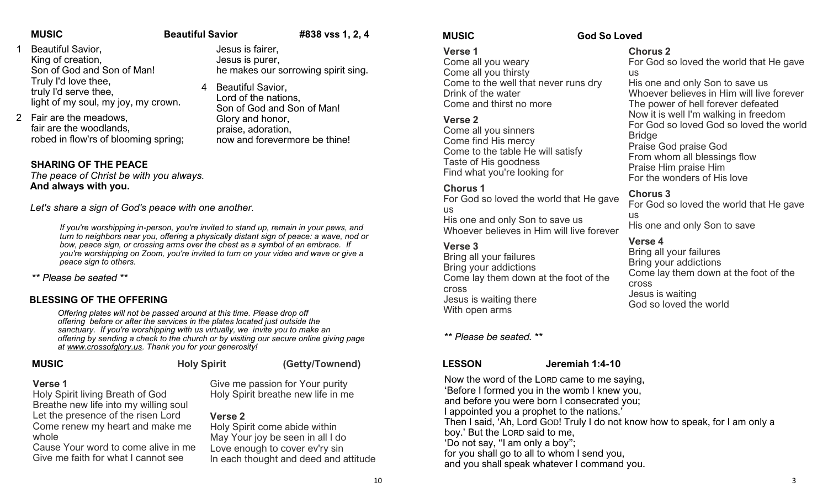Jesus is fairer, Jesus is purer,

4 Beautiful Savior,

Lord of the nations,

Glory and honor, praise, adoration,

**MUSIC Beautiful Savior #838 vss 1, 2, 4** 

he makes our sorrowing spirit sing.

Son of God and Son of Man!

now and forevermore be thine!

1 Beautiful Savior, King of creation, Son of God and Son of Man! Truly I'd love thee, truly I'd serve thee, light of my soul, my joy, my crown.

2 Fair are the meadows, fair are the woodlands, robed in flow'rs of blooming spring;

### **SHARING OF THE PEACE**

*The peace of Christ be with you always.*  **And always with you.**

*Let's share a sign of God's peace with one another.* 

*If you're worshipping in-person, you're invited to stand up, remain in your pews, and turn to neighbors near you, offering a physically distant sign of peace: a wave, nod or bow, peace sign, or crossing arms over the chest as a symbol of an embrace. If you're worshipping on Zoom, you're invited to turn on your video and wave or give a peace sign to others.*

*\*\* Please be seated \*\**

### **BLESSING OF THE OFFERING**

*Offering plates will not be passed around at this time. Please drop off offering before or after the services in the plates located just outside the sanctuary. If you're worshipping with us virtually, we invite you to make an offering by sending a check to the church or by visiting our secure online giving page at [www.crossofglory.us.](http://www.crossofglory.us/) Thank you for your generosity!*

**MUSIC Holy Spirit (Getty/Townend)** 

### **Verse 1**

Holy Spirit living Breath of God Breathe new life into my willing soul Let the presence of the risen Lord Come renew my heart and make me whole

Cause Your word to come alive in me Give me faith for what I cannot see

Give me passion for Your purity Holy Spirit breathe new life in me

### **Verse 2**

Holy Spirit come abide within May Your joy be seen in all I do Love enough to cover ev'ry sin In each thought and deed and attitude

### **Verse 1**

Come all you weary Come all you thirsty Come to the well that never runs dry Drink of the water Come and thirst no more

### **Verse 2**

Come all you sinners Come find His mercy Come to the table He will satisfy Taste of His goodness Find what you're looking for

### **Chorus 1**

For God so loved the world that He gave us

His one and only Son to save us Whoever believes in Him will live forever

### **Verse 3**

Bring all your failures Bring your addictions Come lay them down at the foot of the cross Jesus is waiting there With open arms

*\*\* Please be seated. \*\**

### **LESSON Jeremiah 1:4-10**

Now the word of the LORD came to me saying, 'Before I formed you in the womb I knew you, and before you were born I consecrated you; I appointed you a prophet to the nations.' Then I said, 'Ah, Lord GOD! Truly I do not know how to speak, for I am only a boy.' But the LORD said to me, 'Do not say, "I am only a boy"; for you shall go to all to whom I send you, and you shall speak whatever I command you.

### **MUSIC God So Loved**

### **Chorus 2**

For God so loved the world that He gave us

His one and only Son to save us Whoever believes in Him will live forever The power of hell forever defeated Now it is well I'm walking in freedom For God so loved God so loved the world Bridge Praise God praise God From whom all blessings flow Praise Him praise Him For the wonders of His love

### **Chorus 3**

For God so loved the world that He gave us His one and only Son to save

### **Verse 4**

Bring all your failures Bring your addictions Come lay them down at the foot of the cross Jesus is waiting God so loved the world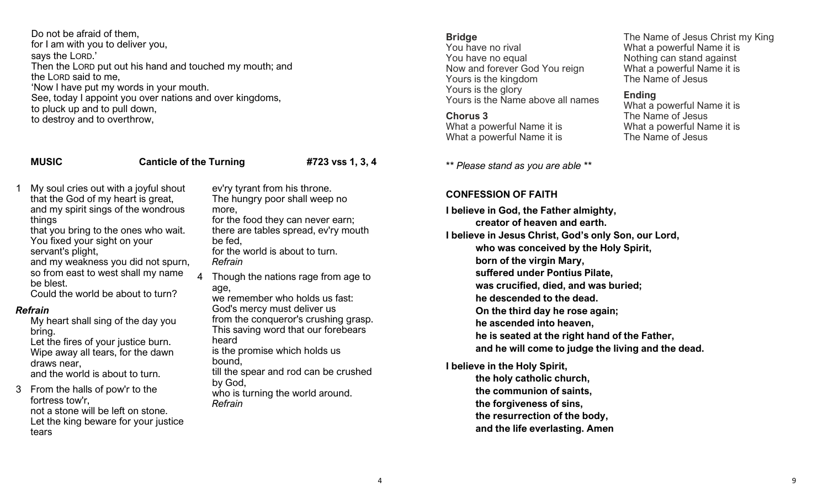Do not be afraid of them, for I am with you to deliver you, says the LORD.' Then the LORD put out his hand and touched my mouth; and the LORD said to me, 'Now I have put my words in your mouth. See, today I appoint you over nations and over kingdoms, to pluck up and to pull down, to destroy and to overthrow,

### **MUSIC** Canticle of the Turning #723 vss 1, 3, 4

- My soul cries out with a joyful shout that the God of my heart is great, and my spirit sings of the wondrous things
- that you bring to the ones who wait. You fixed your sight on your servant's plight,
- and my weakness you did not spurn, so from east to west shall my name be blest.
- Could the world be about to turn?

### *Refrain*

- My heart shall sing of the day you bring.
- Let the fires of your justice burn. Wipe away all tears, for the dawn draws near,
- and the world is about to turn.
- 3 From the halls of pow'r to the fortress tow'r, not a stone will be left on stone. Let the king beware for your justice tears

more, for the food they can never earn; there are tables spread, ev'ry mouth be fed, for the world is about to turn. *Refrain* 4 Though the nations rage from age to age, we remember who holds us fast:

ev'ry tyrant from his throne. The hungry poor shall weep no

- God's mercy must deliver us from the conqueror's crushing grasp. This saving word that our forebears heard is the promise which holds us
- bound,
- till the spear and rod can be crushed by God,
- who is turning the world around. *Refrain*

### **Bridge**

You have no rival You have no equal Now and forever God You reign Yours is the kingdom Yours is the glory Yours is the Name above all names

**Chorus 3** What a powerful Name it is What a powerful Name it is

*\*\* Please stand as you are able \*\**

### **CONFESSION OF FAITH**

**I believe in God, the Father almighty, creator of heaven and earth. I believe in Jesus Christ, God's only Son, our Lord, who was conceived by the Holy Spirit, born of the virgin Mary, suffered under Pontius Pilate, was crucified, died, and was buried; he descended to the dead. On the third day he rose again; he ascended into heaven, he is seated at the right hand of the Father, and he will come to judge the living and the dead. I believe in the Holy Spirit, the holy catholic church,** 

**the communion of saints, the forgiveness of sins, the resurrection of the body, and the life everlasting. Amen** The Name of Jesus Christ my King What a powerful Name it is Nothing can stand against What a powerful Name it is The Name of Jesus

### **Ending**

What a powerful Name it is The Name of Jesus What a powerful Name it is The Name of Jesus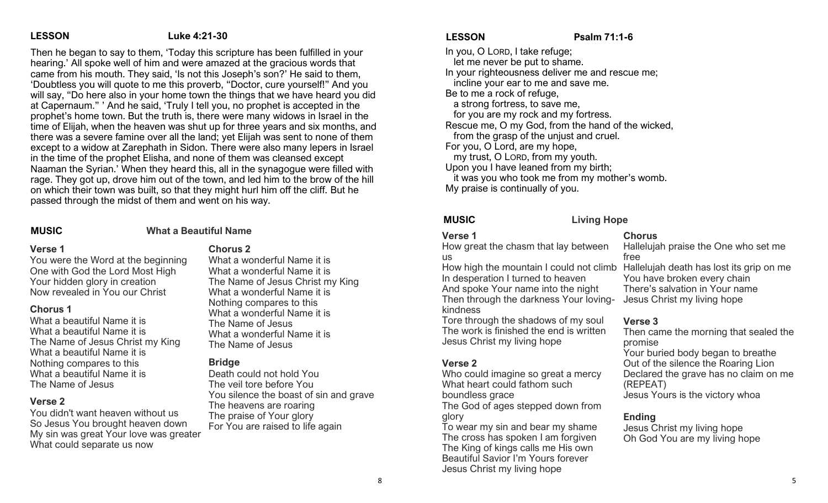### **LESSON Luke 4:21-30**

Then he began to say to them, 'Today this scripture has been fulfilled in your hearing.' All spoke well of him and were amazed at the gracious words that came from his mouth. They said, 'Is not this Joseph's son?' He said to them, 'Doubtless you will quote to me this proverb, "Doctor, cure yourself!" And you will say, "Do here also in your home town the things that we have heard you did at Capernaum." ' And he said, 'Truly I tell you, no prophet is accepted in the prophet's home town. But the truth is, there were many widows in Israel in the time of Elijah, when the heaven was shut up for three years and six months, and there was a severe famine over all the land; yet Elijah was sent to none of them except to a widow at Zarephath in Sidon. There were also many lepers in Israel in the time of the prophet Elisha, and none of them was cleansed except Naaman the Syrian.' When they heard this, all in the synagogue were filled with rage. They got up, drove him out of the town, and led him to the brow of the hill on which their town was built, so that they might hurl him off the cliff. But he passed through the midst of them and went on his way.

### **MUSIC What a Beautiful Name**

### **Verse 1**

You were the Word at the beginning One with God the Lord Most High Your hidden glory in creation Now revealed in You our Christ

### **Chorus 1**

What a beautiful Name it is What a beautiful Name it is The Name of Jesus Christ my King What a beautiful Name it is Nothing compares to this What a beautiful Name it is The Name of Jesus

### **Verse 2**

You didn't want heaven without us So Jesus You brought heaven down My sin was great Your love was greater What could separate us now

### **Chorus 2**

What a wonderful Name it is What a wonderful Name it is The Name of Jesus Christ my King What a wonderful Name it is Nothing compares to this What a wonderful Name it is The Name of Jesus What a wonderful Name it is The Name of Jesus

### **Bridge**

Death could not hold You The veil tore before You You silence the boast of sin and grave The heavens are roaring The praise of Your glory For You are raised to life again

**LESSON Psalm 71:1-6** 

In you, O LORD, I take refuge; let me never be put to shame. In your righteousness deliver me and rescue me; incline your ear to me and save me. Be to me a rock of refuge, a strong fortress, to save me, for you are my rock and my fortress. Rescue me, O my God, from the hand of the wicked, from the grasp of the unjust and cruel. For you, O Lord, are my hope, my trust, O LORD, from my youth. Upon you I have leaned from my birth; it was you who took me from my mother's womb. My praise is continually of you.

How great the chasm that lay between

In desperation I turned to heaven And spoke Your name into the night Then through the darkness Your loving-

Jesus Christ my living hope

What heart could fathom such

Jesus Christ my living hope

Tore through the shadows of my soul The work is finished the end is written

Who could imagine so great a mercy

The God of ages stepped down from

To wear my sin and bear my shame The cross has spoken I am forgiven The King of kings calls me His own Beautiful Savior I'm Yours forever

## **Verse 1**

kindness

**Verse 2**

glory

boundless grace

us

### **MUSIC Living Hope**

### **Chorus**

How high the mountain I could not climb Hallelujah death has lost its grip on me Hallelujah praise the One who set me free You have broken every chain There's salvation in Your name Jesus Christ my living hope

### **Verse 3**

Then came the morning that sealed the promise Your buried body began to breathe Out of the silence the Roaring Lion Declared the grave has no claim on me (REPEAT) Jesus Yours is the victory whoa

### **Ending**

Jesus Christ my living hope Oh God You are my living hope

8